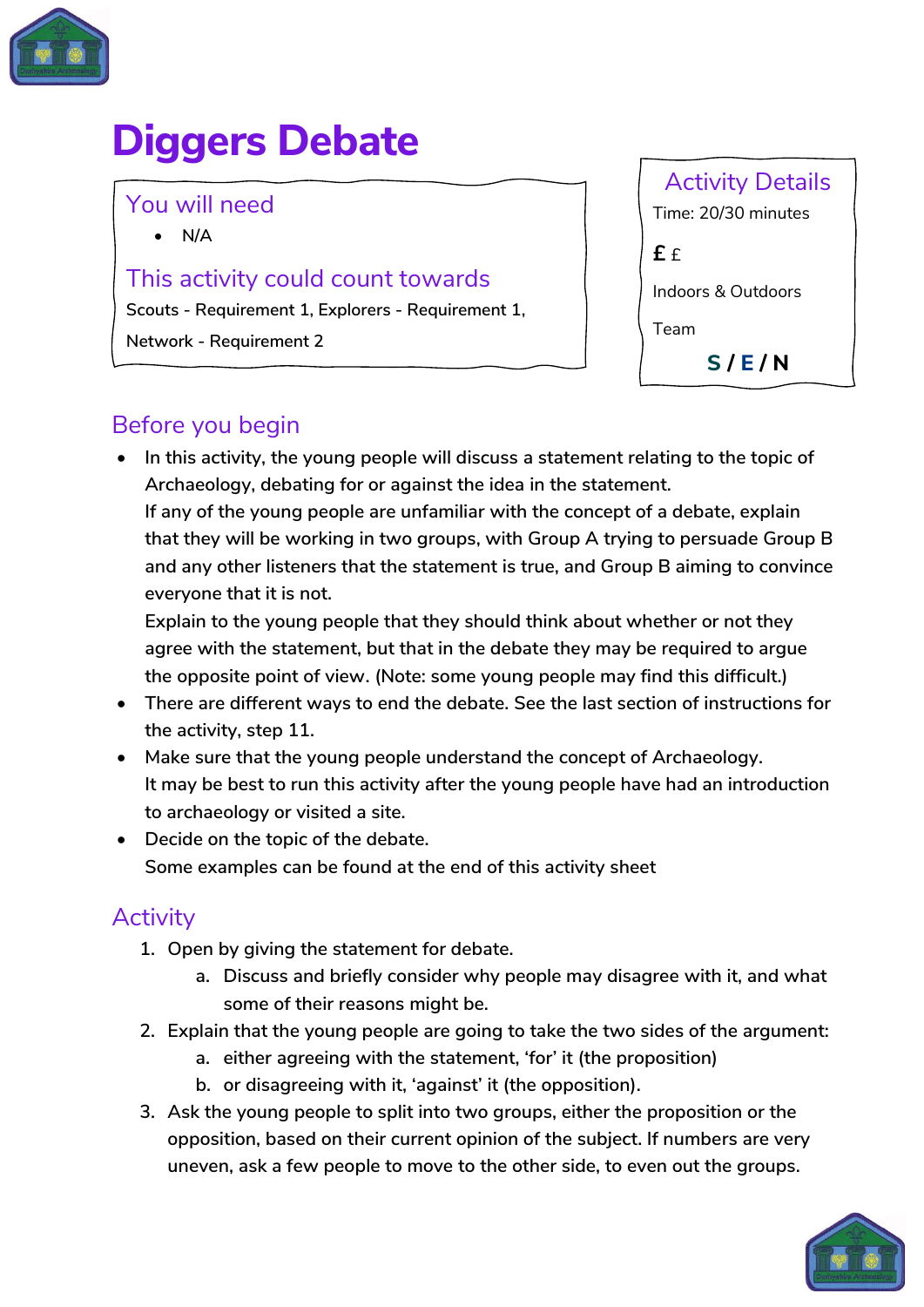

# **Diggers Debate**

#### You will need

• **N/A**

#### This activity could count towards

**Scouts - Requirement 1, Explorers - Requirement 1,**

**Network - Requirement 2**



## Before you begin

• **In this activity, the young people will discuss a statement relating to the topic of Archaeology, debating for or against the idea in the statement.**

**If any of the young people are unfamiliar with the concept of a debate, explain that they will be working in two groups, with Group A trying to persuade Group B and any other listeners that the statement is true, and Group B aiming to convince everyone that it is not.**

**Explain to the young people that they should think about whether or not they agree with the statement, but that in the debate they may be required to argue the opposite point of view. (Note: some young people may find this difficult.)**

- **There are different ways to end the debate. See the last section of instructions for the activity, step 11.**
- **Make sure that the young people understand the concept of Archaeology. It may be best to run this activity after the young people have had an introduction to archaeology or visited a site.**
- **Decide on the topic of the debate. Some examples can be found at the end of this activity sheet**

## Activity

- **1. Open by giving the statement for debate.**
	- **a. Discuss and briefly consider why people may disagree with it, and what some of their reasons might be.**
- **2. Explain that the young people are going to take the two sides of the argument:**
	- **a. either agreeing with the statement, 'for' it (the proposition)**
	- **b. or disagreeing with it, 'against' it (the opposition).**
- **3. Ask the young people to split into two groups, either the proposition or the opposition, based on their current opinion of the subject. If numbers are very uneven, ask a few people to move to the other side, to even out the groups.**

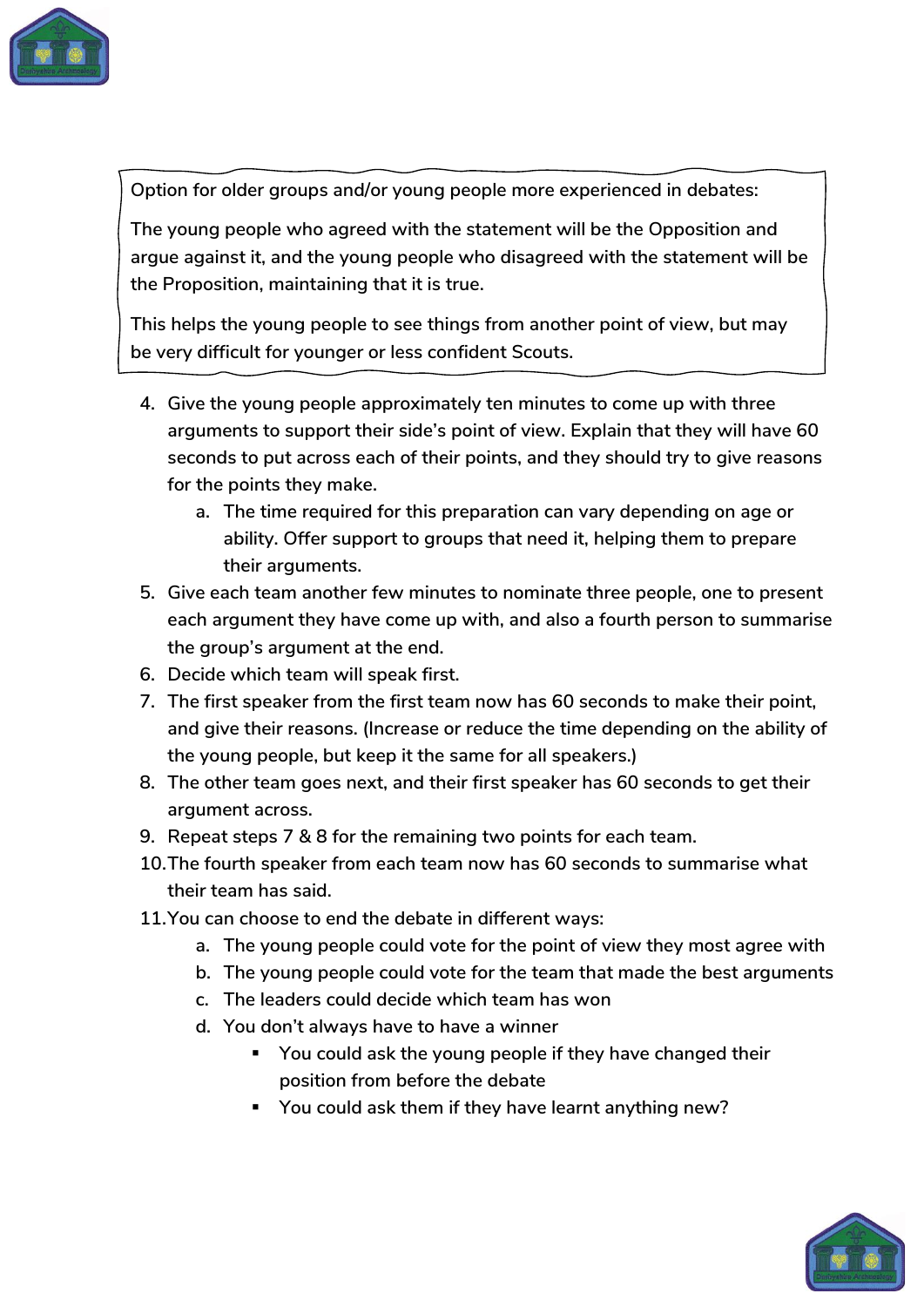

**Option for older groups and/or young people more experienced in debates:**

**The young people who agreed with the statement will be the Opposition and argue against it, and the young people who disagreed with the statement will be the Proposition, maintaining that it is true.**

**This helps the young people to see things from another point of view, but may be very difficult for younger or less confident Scouts.**

- **4. Give the young people approximately ten minutes to come up with three arguments to support their side's point of view. Explain that they will have 60 seconds to put across each of their points, and they should try to give reasons for the points they make.**
	- **a. The time required for this preparation can vary depending on age or ability. Offer support to groups that need it, helping them to prepare their arguments.**
- **5. Give each team another few minutes to nominate three people, one to present each argument they have come up with, and also a fourth person to summarise the group's argument at the end.**
- **6. Decide which team will speak first.**
- **7. The first speaker from the first team now has 60 seconds to make their point, and give their reasons. (Increase or reduce the time depending on the ability of the young people, but keep it the same for all speakers.)**
- **8. The other team goes next, and their first speaker has 60 seconds to get their argument across.**
- **9. Repeat steps 7 & 8 for the remaining two points for each team.**
- **10.The fourth speaker from each team now has 60 seconds to summarise what their team has said.**
- **11.You can choose to end the debate in different ways:**
	- **a. The young people could vote for the point of view they most agree with**
	- **b. The young people could vote for the team that made the best arguments**
	- **c. The leaders could decide which team has won**
	- **d. You don't always have to have a winner**
		- **You could ask the young people if they have changed their position from before the debate**
		- **You could ask them if they have learnt anything new?**

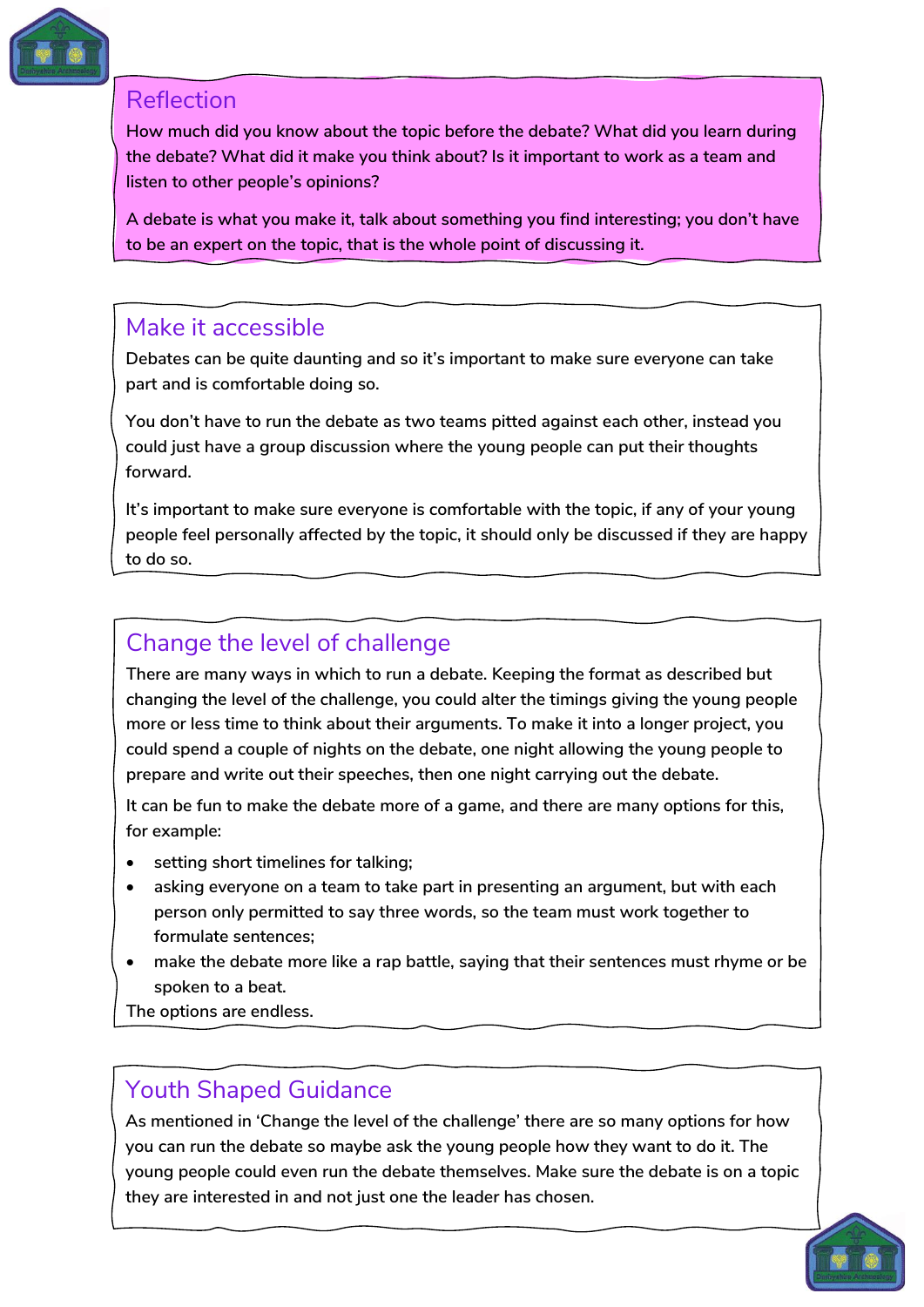

#### Reflection

**How much did you know about the topic before the debate? What did you learn during the debate? What did it make you think about? Is it important to work as a team and listen to other people's opinions?**

**A debate is what you make it, talk about something you find interesting; you don't have to be an expert on the topic, that is the whole point of discussing it.**

### Make it accessible

**Debates can be quite daunting and so it's important to make sure everyone can take part and is comfortable doing so.** 

**You don't have to run the debate as two teams pitted against each other, instead you could just have a group discussion where the young people can put their thoughts forward.** 

**It's important to make sure everyone is comfortable with the topic, if any of your young people feel personally affected by the topic, it should only be discussed if they are happy to do so.** 

### Change the level of challenge

**There are many ways in which to run a debate. Keeping the format as described but changing the level of the challenge, you could alter the timings giving the young people more or less time to think about their arguments. To make it into a longer project, you could spend a couple of nights on the debate, one night allowing the young people to prepare and write out their speeches, then one night carrying out the debate.** 

**It can be fun to make the debate more of a game, and there are many options for this, for example:**

- **setting short timelines for talking;**
- **asking everyone on a team to take part in presenting an argument, but with each person only permitted to say three words, so the team must work together to formulate sentences;**
- **make the debate more like a rap battle, saying that their sentences must rhyme or be spoken to a beat.**

**The options are endless.**

## Youth Shaped Guidance

**As mentioned in 'Change the level of the challenge' there are so many options for how you can run the debate so maybe ask the young people how they want to do it. The young people could even run the debate themselves. Make sure the debate is on a topic they are interested in and not just one the leader has chosen.**